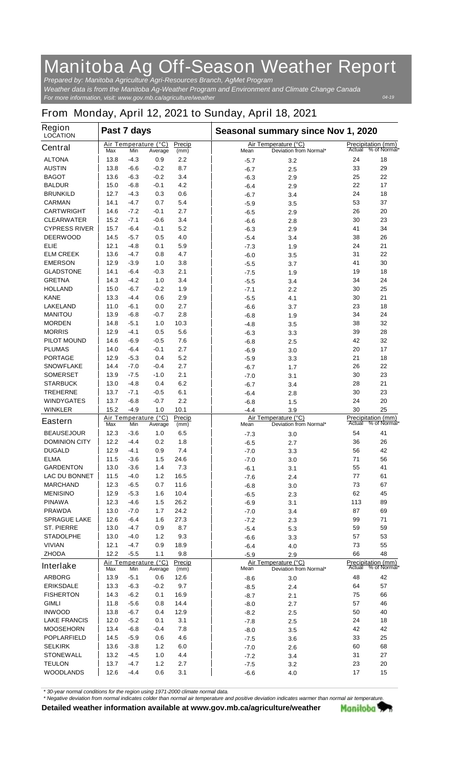## **Manitoba Ag Off-Season Weather Report**

*For more information, visit: www.gov.mb.ca/agriculture/weather Prepared by: Manitoba Agriculture Agri-Resources Branch, AgMet Program Weather data is from the Manitoba Ag-Weather Program and Environment and Climate Change Canada*

## **From Monday, April 12, 2021 to Sunday, April 18, 2021**

| <b>Region</b><br><b>LOCATION</b> | Past 7 days |        |                                 |                |        | Seasonal summary since Nov 1, 2020             |                                     |                     |  |
|----------------------------------|-------------|--------|---------------------------------|----------------|--------|------------------------------------------------|-------------------------------------|---------------------|--|
| <b>Central</b>                   | Max         | Min    | Air Temperature (°C)<br>Average | Precip<br>(mm) | Mean   | Air Temperature (°C)<br>Deviation from Normal* | <b>Precipitation (mm)</b>           | Actual % of Normal* |  |
| <b>ALTONA</b>                    | 13.8        | $-4.3$ | 0.9                             | 2.2            | $-5.7$ | 3.2                                            | 24                                  | 18                  |  |
| <b>AUSTIN</b>                    | 13.8        | $-6.6$ | $-0.2$                          | 8.7            | $-6.7$ | 2.5                                            | 33                                  | 29                  |  |
| <b>BAGOT</b>                     | 13.6        | $-6.3$ | $-0.2$                          | 3.4            | -6.3   | 2.9                                            | 25                                  | 22                  |  |
| <b>BALDUR</b>                    | 15.0        | $-6.8$ | $-0.1$                          | 4.2            | $-6.4$ | 2.9                                            | 22                                  | 17                  |  |
| <b>BRUNKILD</b>                  | 12.7        | $-4.3$ | 0.3                             | 0.6            | $-6.7$ | 3.4                                            | 24                                  | 18                  |  |
| <b>CARMAN</b>                    | 14.1        | $-4.7$ | 0.7                             | 5.4            | $-5.9$ | 3.5                                            | 53                                  | 37                  |  |
| <b>CARTWRIGHT</b>                | 14.6        | $-7.2$ | $-0.1$                          | 2.7            | $-6.5$ | 2.9                                            | 26                                  | 20                  |  |
| <b>CLEARWATER</b>                | 15.2        | -7.1   | $-0.6$                          | 3.4            | $-6.6$ | 2.8                                            | 30                                  | 23                  |  |
| <b>CYPRESS RIVER</b>             | 15.7        | $-6.4$ | $-0.1$                          | 5.2            | -6.3   | 2.9                                            | 41                                  | 34                  |  |
| <b>DEERWOOD</b>                  | 14.5        | -5.7   | 0.5                             | 4.0            | $-5.4$ | 3.4                                            | 38                                  | 26                  |  |
| <b>ELIE</b>                      | 12.1        | $-4.8$ | 0.1                             | 5.9            | $-7.3$ | 1.9                                            | 24                                  | 21                  |  |
| <b>ELM CREEK</b>                 | 13.6        | $-4.7$ | 0.8                             | 4.7            | $-6.0$ | 3.5                                            | 31                                  | 22                  |  |
| <b>EMERSON</b>                   | 12.9        | $-3.9$ | 1.0                             | 3.8            | $-5.5$ | 3.7                                            | 41                                  | 30                  |  |
| <b>GLADSTONE</b>                 | 14.1        | $-6.4$ | $-0.3$                          | 2.1            | $-7.5$ | 1.9                                            | 19                                  | 18                  |  |
| <b>GRETNA</b>                    | 14.3        | $-4.2$ | 1.0                             | 3.4            | $-5.5$ | 3.4                                            | 34                                  | 24                  |  |
| <b>HOLLAND</b>                   | 15.0        | $-6.7$ | $-0.2$                          | 1.9            | $-7.1$ | 2.2                                            | 30                                  | 25                  |  |
| <b>KANE</b>                      | 13.3        | $-4.4$ | 0.6                             | 2.9            | $-5.5$ | 4.1                                            | 30                                  | 21                  |  |
| <b>LAKELAND</b>                  | 11.0        | $-6.1$ | 0.0                             | 2.7            | $-6.6$ | 3.7                                            | 23                                  | 18                  |  |
| <b>MANITOU</b>                   | 13.9        | $-6.8$ | -0.7                            | 2.8            | $-6.8$ | 1.9                                            | 34                                  | 24                  |  |
| <b>MORDEN</b>                    | 14.8        | $-5.1$ | 1.0                             | 10.3           | $-4.8$ | 3.5                                            | 38                                  | 32                  |  |
| <b>MORRIS</b>                    | 12.9        | $-4.1$ | 0.5                             | 5.6            | $-6.3$ | 3.3                                            | 39                                  | 28                  |  |
| <b>PILOT MOUND</b>               | 14.6        | $-6.9$ | $-0.5$                          | 7.6            | -6.8   | 2.5                                            | 42                                  | 32                  |  |
| <b>PLUMAS</b>                    | 14.0        | $-6.4$ | $-0.1$                          | 2.7            | $-6.9$ | 3.0                                            | 20                                  | 17                  |  |
| <b>PORTAGE</b>                   | 12.9        | $-5.3$ | 0.4                             | 5.2            | $-5.9$ | 3.3                                            | 21                                  | 18                  |  |
| <b>SNOWFLAKE</b>                 | 14.4        | $-7.0$ | $-0.4$                          | 2.7            | $-6.7$ | 1.7                                            | 26                                  | 22                  |  |
| <b>SOMERSET</b>                  | 13.9        | -7.5   | $-1.0$                          | 2.1            | $-7.0$ | 3.1                                            | 30                                  | 23                  |  |
| <b>STARBUCK</b>                  | 13.0        | -4.8   | 0.4                             | 6.2            | $-6.7$ | 3.4                                            | 28                                  | 21                  |  |
| <b>TREHERNE</b>                  | 13.7        | $-7.1$ | -0.5                            | 6.1            | $-6.4$ | 2.8                                            | 30                                  | 23                  |  |
| <b>WINDYGATES</b>                | 13.7        | $-6.8$ | $-0.7$                          | 2.2            | -6.8   | 1.5                                            | 24                                  | 20                  |  |
| <b>WINKLER</b>                   | 15.2        | $-4.9$ | 1.0                             | 10.1           | $-4.4$ | 3.9                                            | 30                                  | 25                  |  |
| <b>Eastern</b>                   | Max         | Min    | Air Temperature (°C)<br>Average | Precip<br>(mm) | Mean   | Air Temperature (°C)<br>Deviation from Normal* | <b>Precipitation (mm)</b><br>Actual | % of Normal*        |  |
| <b>BEAUSEJOUR</b>                | 12.3        | $-3.6$ | 1.0                             | 6.5            | $-7.3$ | 3.0                                            | 54                                  | 41                  |  |
| <b>DOMINION CITY</b>             | 12.2        | -4.4   | 0.2                             | 1.8            | $-6.5$ | 2.7                                            | 36                                  | 26                  |  |
| <b>DUGALD</b>                    | 12.9        | $-4.1$ | 0.9                             | 7.4            | -7.0   | 3.3                                            | 56                                  | 42                  |  |
| <b>ELMA</b>                      | 11.5        | $-3.6$ | 1.5                             | 24.6           | $-7.0$ | 3.0                                            | 71                                  | 56                  |  |
| <b>GARDENTON</b>                 | 13.0        | $-3.6$ | 1.4                             | 7.3            | -6.1   | 3.1                                            | 55                                  | 41                  |  |
| <b>LAC DU BONNET</b>             | 11.5        | -4.0   | $1.2$                           | 16.5           | $-7.6$ | 2.4                                            | 77                                  | 61                  |  |
| <b>MARCHAND</b>                  | 12.3        | $-6.5$ | 0.7                             | 11.6           | $-6.8$ | 3.0                                            | 73                                  | 67                  |  |
| <b>MENISINO</b>                  | 12.9        | $-5.3$ | 1.6                             | 10.4           | $-6.5$ | 2.3                                            | 62                                  | 45                  |  |
| <b>PINAWA</b>                    | 12.3        | $-4.6$ | 1.5                             | 26.2           | $-6.9$ | 3.1                                            | 113                                 | 89                  |  |
| <b>PRAWDA</b>                    | 13.0        | $-7.0$ | 1.7                             | 24.2           | $-7.0$ | 3.4                                            | 87                                  | 69                  |  |
| <b>SPRAGUE LAKE</b>              | 12.6        | -6.4   | 1.6                             | 27.3           | -7.2   | 2.3                                            | 99                                  | 71                  |  |
| <b>ST. PIERRE</b>                | 13.0        | $-4.7$ | 0.9                             | 8.7            | $-5.4$ | 5.3                                            | 59                                  | 59                  |  |
| <b>STADOLPHE</b>                 | 13.0        | $-4.0$ | 1.2                             | 9.3            | $-6.6$ | 3.3                                            | 57                                  | 53                  |  |
| <b>VIVIAN</b>                    | 12.1        | $-4.7$ | 0.9                             | 18.9           | $-6.4$ | 4.0                                            | 73                                  | 55                  |  |
| <b>ZHODA</b>                     | 12.2        | $-5.5$ | 1.1                             | 9.8            | $-5.9$ | 2.9                                            | 66                                  | 48                  |  |
| <b>Interlake</b>                 | Max         | Min    | Air Temperature (°C)<br>Average | Precip<br>(mm) | Mean   | Air Temperature (°C)<br>Deviation from Normal* | <b>Precipitation (mm)</b>           | Actual % of Normal* |  |
| <b>ARBORG</b>                    | 13.9        | $-5.1$ | 0.6                             | 12.6           | $-8.6$ | 3.0                                            | 48                                  | 42                  |  |
| <b>ERIKSDALE</b>                 | 13.3        | $-6.3$ | $-0.2$                          | 9.7            | $-8.5$ | 2.4                                            | 64                                  | 57                  |  |
| <b>FISHERTON</b>                 | 14.3        | $-6.2$ | 0.1                             | 16.9           | -8.7   | 2.1                                            | 75                                  | 66                  |  |
| <b>GIMLI</b>                     | 11.8        | $-5.6$ | 0.8                             | 14.4           | $-8.0$ | 2.7                                            | 57                                  | 46                  |  |
| <b>INWOOD</b>                    | 13.8        | $-6.7$ | 0.4                             | 12.9           | $-8.2$ | 2.5                                            | 50                                  | 40                  |  |
| <b>LAKE FRANCIS</b>              | 12.0        | $-5.2$ | 0.1                             | 3.1            | $-7.8$ | 2.5                                            | 24                                  | 18                  |  |
| <b>MOOSEHORN</b>                 | 13.4        | $-6.8$ | $-0.4$                          | 7.8            | $-8.0$ | 3.5                                            | 42                                  | 42                  |  |
| <b>POPLARFIELD</b>               | 14.5        | $-5.9$ | 0.6                             | 4.6            | $-7.5$ | 3.6                                            | 33                                  | 25                  |  |
| <b>SELKIRK</b>                   | 13.6        | $-3.8$ | 1.2                             | 6.0            | $-7.0$ | 2.6                                            | 60                                  | 68                  |  |
| <b>STONEWALL</b>                 | 13.2        | $-4.5$ | 1.0                             | 4.4            | $-7.2$ | 3.4                                            | 31                                  | 27                  |  |
| <b>TEULON</b>                    | 13.7        | $-4.7$ | 1.2                             | 2.7            | $-7.5$ | 3.2                                            | 23                                  | 20                  |  |
| <b>WOODLANDS</b>                 | 12.6        | -4.4   | 0.6                             | 3.1            | $-6.6$ | 4.0                                            | 17                                  | 15                  |  |

*\* 30-year normal conditions for the region using 1971-2000 climate normal data.*

*\* Negative deviation from normal indicates colder than normal air temperature and positive deviation indicates warmer than normal air temperature.***Detailed weather information available at www.gov.mb.ca/agriculture/weather** Manitoba 77